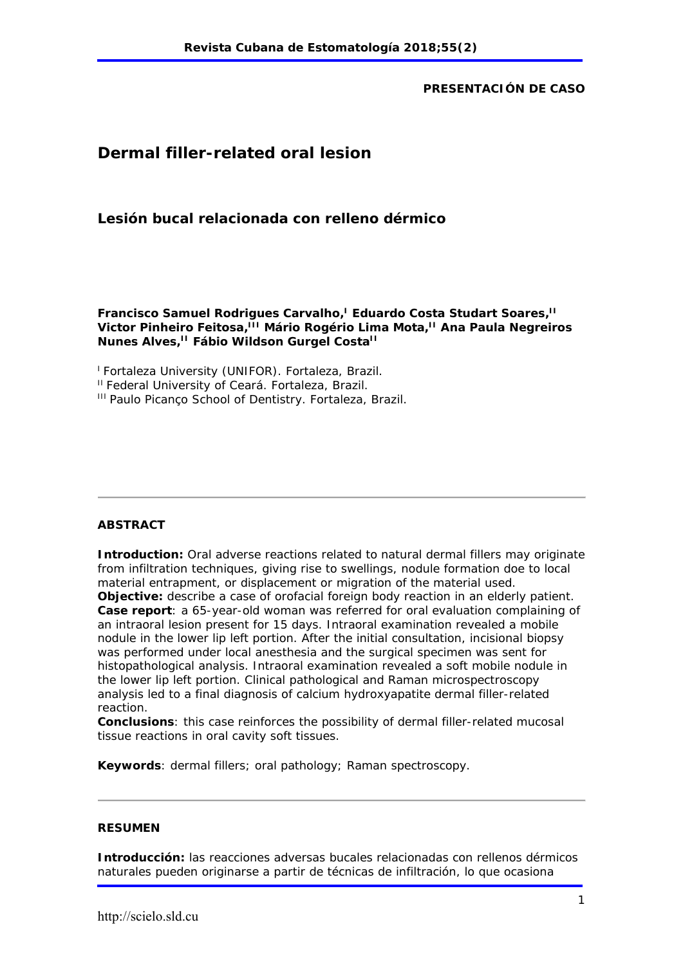#### **PRESENTACIÓN DE CASO**

# **Dermal filler-related oral lesion**

### **Lesión bucal relacionada con relleno dérmico**

**Francisco Samuel Rodrigues Carvalho,<sup>1</sup> Eduardo Costa Studart Soares,<sup>11</sup>** Victor Pinheiro Feitosa,<sup>III</sup> Mário Rogério Lima Mota,<sup>II</sup> Ana Paula Negreiros **Nunes Alves,<sup>II</sup> Fábio Wildson Gurgel Costa<sup>II</sup>** 

<sup>1</sup> Fortaleza University (UNIFOR). Fortaleza, Brazil.

<sup>II</sup> Federal University of Ceará, Fortaleza, Brazil.

III Paulo Picanço School of Dentistry. Fortaleza, Brazil.

#### **ABSTRACT**

**Introduction:** Oral adverse reactions related to natural dermal fillers may originate from infiltration techniques, giving rise to swellings, nodule formation doe to local material entrapment, or displacement or migration of the material used. **Objective:** describe a case of orofacial foreign body reaction in an elderly patient. **Case report**: a 65-year-old woman was referred for oral evaluation complaining of an intraoral lesion present for 15 days. Intraoral examination revealed a mobile nodule in the lower lip left portion. After the initial consultation, incisional biopsy was performed under local anesthesia and the surgical specimen was sent for histopathological analysis. Intraoral examination revealed a soft mobile nodule in the lower lip left portion. Clinical pathological and Raman microspectroscopy analysis led to a final diagnosis of calcium hydroxyapatite dermal filler-related reaction.

**Conclusions**: this case reinforces the possibility of dermal filler-related mucosal tissue reactions in oral cavity soft tissues.

**Keywords**: dermal fillers; oral pathology; Raman spectroscopy.

#### **RESUMEN**

**Introducción:** las reacciones adversas bucales relacionadas con rellenos dérmicos naturales pueden originarse a partir de técnicas de infiltración, lo que ocasiona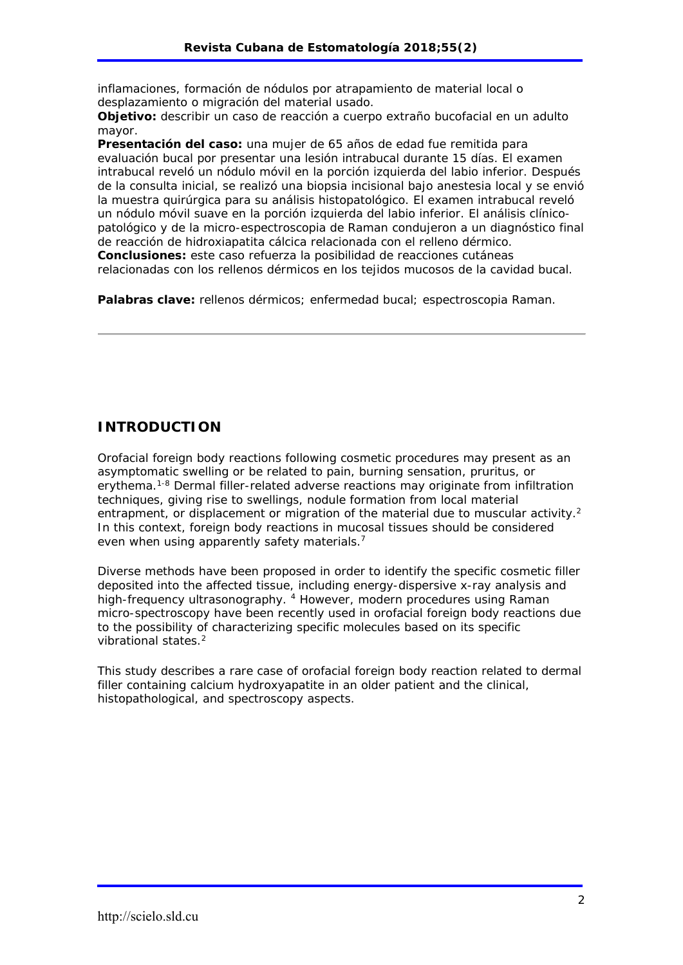inflamaciones, formación de nódulos por atrapamiento de material local o desplazamiento o migración del material usado.

**Objetivo:** describir un caso de reacción a cuerpo extraño bucofacial en un adulto mayor.

**Presentación del caso:** una mujer de 65 años de edad fue remitida para evaluación bucal por presentar una lesión intrabucal durante 15 días. El examen intrabucal reveló un nódulo móvil en la porción izquierda del labio inferior. Después de la consulta inicial, se realizó una biopsia incisional bajo anestesia local y se envió la muestra quirúrgica para su análisis histopatológico. El examen intrabucal reveló un nódulo móvil suave en la porción izquierda del labio inferior. El análisis clínicopatológico y de la micro-espectroscopia de Raman condujeron a un diagnóstico final de reacción de hidroxiapatita cálcica relacionada con el relleno dérmico. **Conclusiones:** este caso refuerza la posibilidad de reacciones cutáneas relacionadas con los rellenos dérmicos en los tejidos mucosos de la cavidad bucal.

**Palabras clave:** rellenos dérmicos; enfermedad bucal; espectroscopia Raman.

### **INTRODUCTION**

Orofacial foreign body reactions following cosmetic procedures may present as an asymptomatic swelling or be related to pain, burning sensation, pruritus, or erythema.1-8 Dermal filler-related adverse reactions may originate from infiltration techniques, giving rise to swellings, nodule formation from local material entrapment, or displacement or migration of the material due to muscular activity.<sup>2</sup> In this context, foreign body reactions in mucosal tissues should be considered even when using apparently safety materials.<sup>7</sup>

Diverse methods have been proposed in order to identify the specific cosmetic filler deposited into the affected tissue, including energy-dispersive x-ray analysis and high-frequency ultrasonography. <sup>4</sup> However, modern procedures using Raman micro-spectroscopy have been recently used in orofacial foreign body reactions due to the possibility of characterizing specific molecules based on its specific vibrational states.<sup>2</sup>

This study describes a rare case of orofacial foreign body reaction related to dermal filler containing calcium hydroxyapatite in an older patient and the clinical, histopathological, and spectroscopy aspects.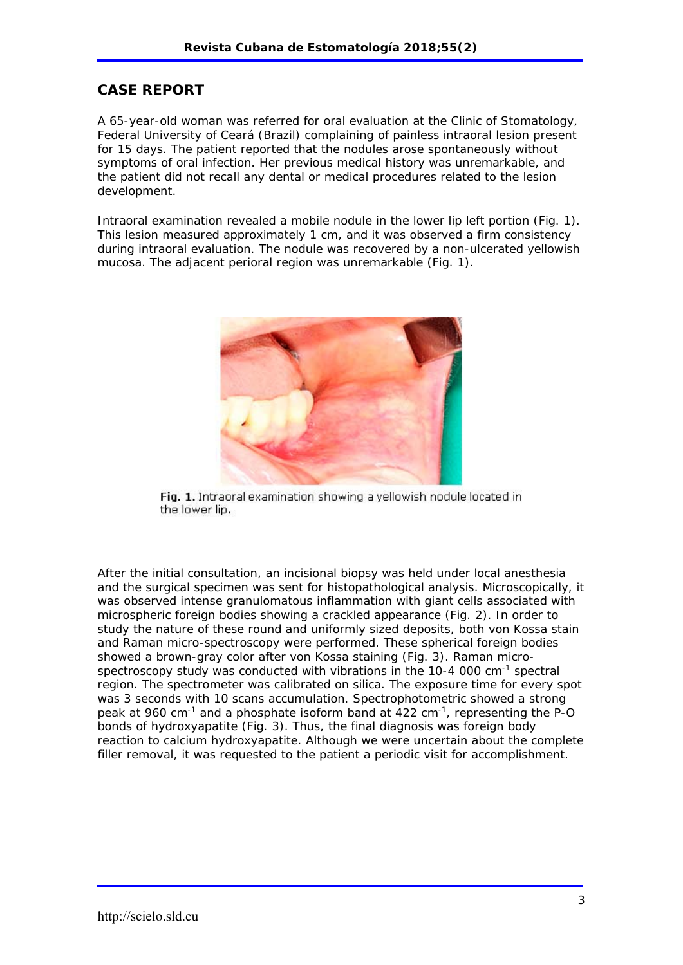### **CASE REPORT**

A 65-year-old woman was referred for oral evaluation at the Clinic of Stomatology, Federal University of Ceará (Brazil) complaining of painless intraoral lesion present for 15 days. The patient reported that the nodules arose spontaneously without symptoms of oral infection. Her previous medical history was unremarkable, and the patient did not recall any dental or medical procedures related to the lesion development.

Intraoral examination revealed a mobile nodule in the lower lip left portion (Fig. 1). This lesion measured approximately 1 cm, and it was observed a firm consistency during intraoral evaluation. The nodule was recovered by a non-ulcerated yellowish mucosa. The adjacent perioral region was unremarkable (Fig. 1).



Fig. 1. Intraoral examination showing a yellowish nodule located in the lower lip.

After the initial consultation, an incisional biopsy was held under local anesthesia and the surgical specimen was sent for histopathological analysis. Microscopically, it was observed intense granulomatous inflammation with giant cells associated with microspheric foreign bodies showing a crackled appearance (Fig. 2). In order to study the nature of these round and uniformly sized deposits, both von Kossa stain and Raman micro-spectroscopy were performed. These spherical foreign bodies showed a brown-gray color after von Kossa staining (Fig. 3). Raman microspectroscopy study was conducted with vibrations in the 10-4 000 cm-1 spectral region. The spectrometer was calibrated on silica. The exposure time for every spot was 3 seconds with 10 scans accumulation. Spectrophotometric showed a strong peak at 960 cm<sup>-1</sup> and a phosphate isoform band at  $422 \text{ cm}^{-1}$ , representing the P-O bonds of hydroxyapatite (Fig. 3). Thus, the final diagnosis was foreign body reaction to calcium hydroxyapatite. Although we were uncertain about the complete filler removal, it was requested to the patient a periodic visit for accomplishment.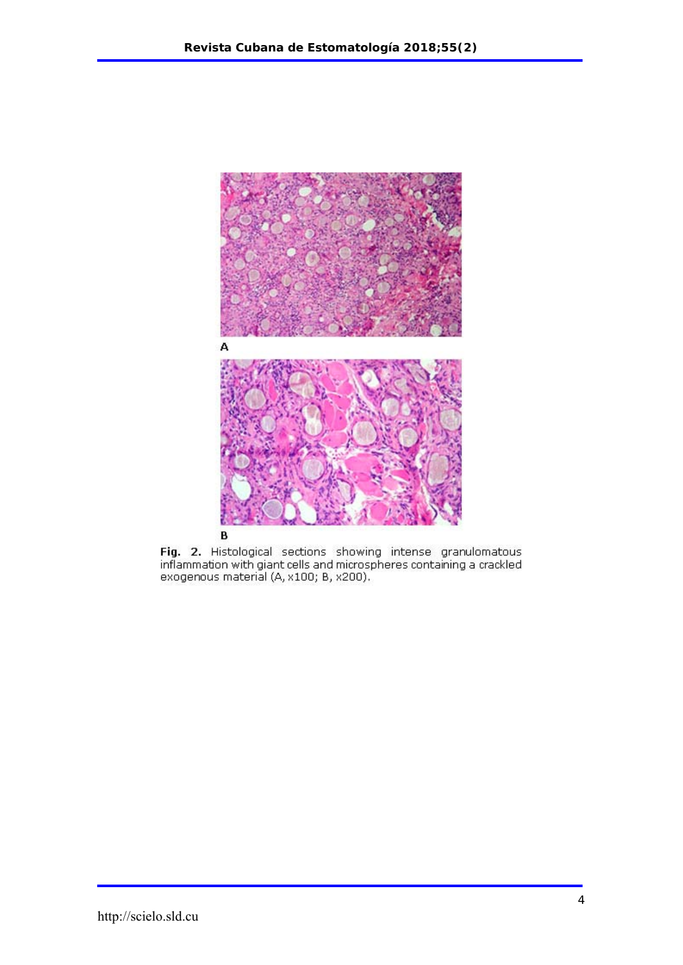

Fig. 2. Histological sections showing intense granulomatous<br>inflammation with giant cells and microspheres containing a crackled<br>exogenous material (A, x100; B, x200).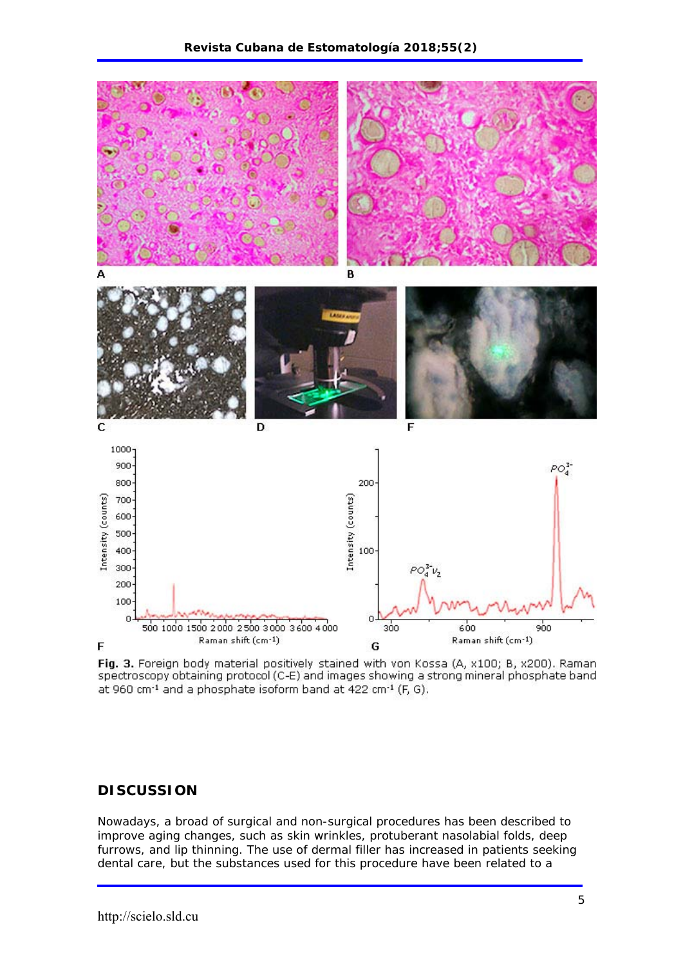

Fig. 3. Foreign body material positively stained with von Kossa (A, x100; B, x200). Raman spectroscopy obtaining protocol (C-E) and images showing a strong mineral phosphate band at 960 cm<sup>-1</sup> and a phosphate isoform band at 422 cm<sup>-1</sup> (F, G).

# **DISCUSSION**

Nowadays, a broad of surgical and non-surgical procedures has been described to improve aging changes, such as skin wrinkles, protuberant nasolabial folds, deep furrows, and lip thinning. The use of dermal filler has increased in patients seeking dental care, but the substances used for this procedure have been related to a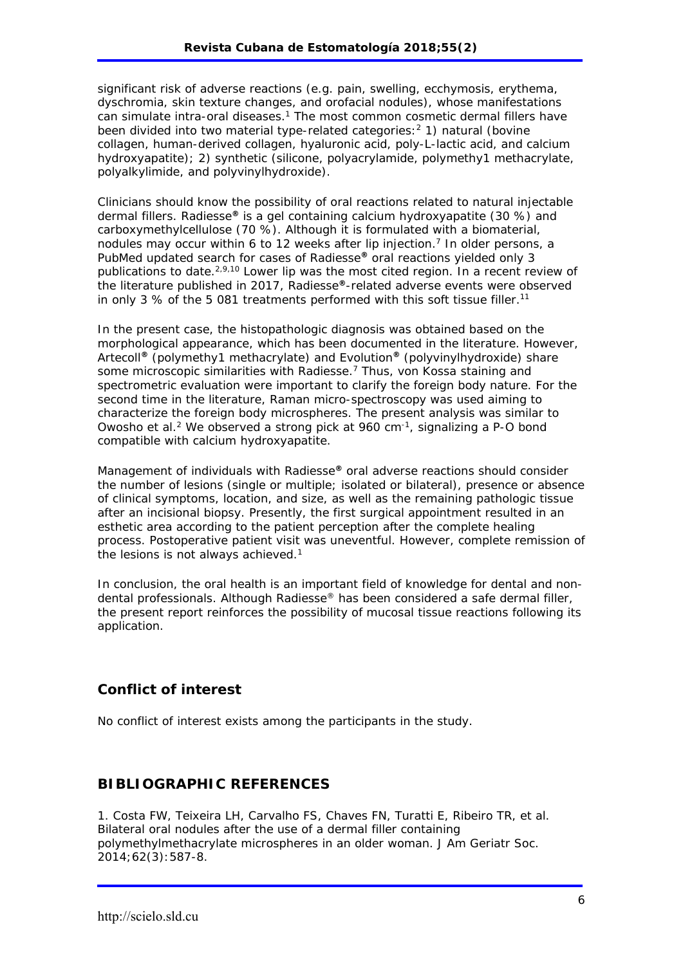significant risk of adverse reactions (e.g. pain, swelling, ecchymosis, erythema, dyschromia, skin texture changes, and orofacial nodules), whose manifestations can simulate intra-oral diseases.<sup>1</sup> The most common cosmetic dermal fillers have been divided into two material type-related categories:<sup>2</sup> 1) natural (bovine collagen, human-derived collagen, hyaluronic acid, poly-L-lactic acid, and calcium hydroxyapatite); 2) synthetic (silicone, polyacrylamide, polymethy1 methacrylate, polyalkylimide, and polyvinylhydroxide).

Clinicians should know the possibility of oral reactions related to natural injectable dermal fillers. Radiesse**®** is a gel containing calcium hydroxyapatite (30 %) and carboxymethylcellulose (70 %). Although it is formulated with a biomaterial, nodules may occur within 6 to 12 weeks after lip injection.<sup>7</sup> In older persons, a PubMed updated search for cases of Radiesse**®** oral reactions yielded only 3 publications to date.2,9,10 Lower lip was the most cited region. In a recent review of the literature published in 2017, Radiesse**®**-related adverse events were observed in only 3 % of the 5 081 treatments performed with this soft tissue filler.<sup>11</sup>

In the present case, the histopathologic diagnosis was obtained based on the morphological appearance, which has been documented in the literature. However, Artecoll**®** (polymethy1 methacrylate) and Evolution**®** (polyvinylhydroxide) share some microscopic similarities with Radiesse.<sup>7</sup> Thus, von Kossa staining and spectrometric evaluation were important to clarify the foreign body nature. For the second time in the literature, Raman micro-spectroscopy was used aiming to characterize the foreign body microspheres. The present analysis was similar to *Owosho et al*.2 We observed a strong pick at 960 cm-1, signalizing a P-O bond compatible with calcium hydroxyapatite.

Management of individuals with Radiesse**®** oral adverse reactions should consider the number of lesions (single or multiple; isolated or bilateral), presence or absence of clinical symptoms, location, and size, as well as the remaining pathologic tissue after an incisional biopsy. Presently, the first surgical appointment resulted in an esthetic area according to the patient perception after the complete healing process. Postoperative patient visit was uneventful. However, complete remission of the lesions is not always achieved.<sup>1</sup>

In conclusion, the oral health is an important field of knowledge for dental and nondental professionals. Although Radiesse® has been considered a safe dermal filler, the present report reinforces the possibility of mucosal tissue reactions following its application.

# **Conflict of interest**

No conflict of interest exists among the participants in the study.

#### **BIBLIOGRAPHIC REFERENCES**

1. Costa FW, Teixeira LH, Carvalho FS, Chaves FN, Turatti E, Ribeiro TR, et al. Bilateral oral nodules after the use of a dermal filler containing polymethylmethacrylate microspheres in an older woman. J Am Geriatr Soc. 2014;62(3):587-8.